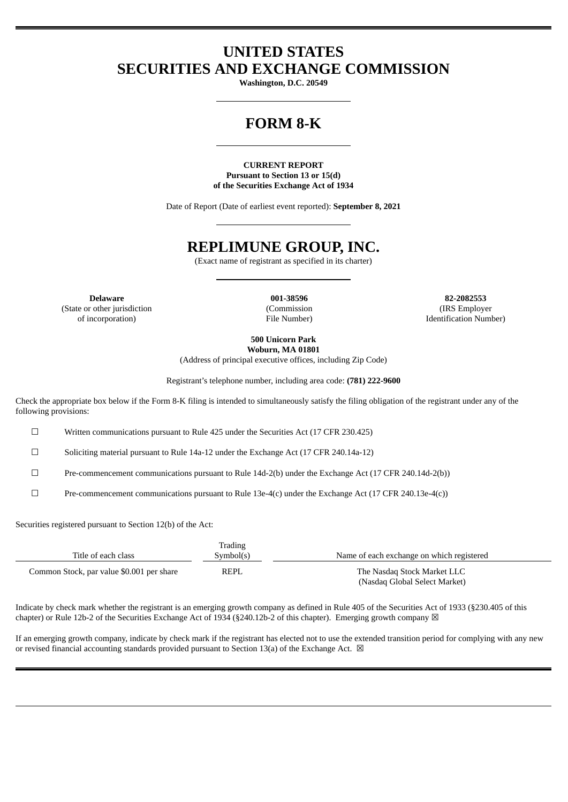## **UNITED STATES SECURITIES AND EXCHANGE COMMISSION**

**Washington, D.C. 20549**

# **FORM 8-K**

**CURRENT REPORT Pursuant to Section 13 or 15(d) of the Securities Exchange Act of 1934**

Date of Report (Date of earliest event reported): **September 8, 2021**

### **REPLIMUNE GROUP, INC.**

(Exact name of registrant as specified in its charter)

(State or other jurisdiction of incorporation)

(Commission File Number)

**Delaware 001-38596 82-2082553** (IRS Employer Identification Number)

> **500 Unicorn Park Woburn, MA 01801**

(Address of principal executive offices, including Zip Code)

Registrant's telephone number, including area code: **(781) 222-9600**

Check the appropriate box below if the Form 8-K filing is intended to simultaneously satisfy the filing obligation of the registrant under any of the following provisions:

☐ Written communications pursuant to Rule 425 under the Securities Act (17 CFR 230.425)

☐ Soliciting material pursuant to Rule 14a-12 under the Exchange Act (17 CFR 240.14a-12)

☐ Pre-commencement communications pursuant to Rule 14d-2(b) under the Exchange Act (17 CFR 240.14d-2(b))

☐ Pre-commencement communications pursuant to Rule 13e-4(c) under the Exchange Act (17 CFR 240.13e-4(c))

Securities registered pursuant to Section 12(b) of the Act:

| Title of each class                       | Trading<br>Symbol(s) | Name of each exchange on which registered                    |  |
|-------------------------------------------|----------------------|--------------------------------------------------------------|--|
| Common Stock, par value \$0.001 per share | REPL                 | The Nasdag Stock Market LLC<br>(Nasdaq Global Select Market) |  |

Indicate by check mark whether the registrant is an emerging growth company as defined in Rule 405 of the Securities Act of 1933 (§230.405 of this chapter) or Rule 12b-2 of the Securities Exchange Act of 1934 (§240.12b-2 of this chapter). Emerging growth company  $\boxtimes$ 

If an emerging growth company, indicate by check mark if the registrant has elected not to use the extended transition period for complying with any new or revised financial accounting standards provided pursuant to Section 13(a) of the Exchange Act.  $\boxtimes$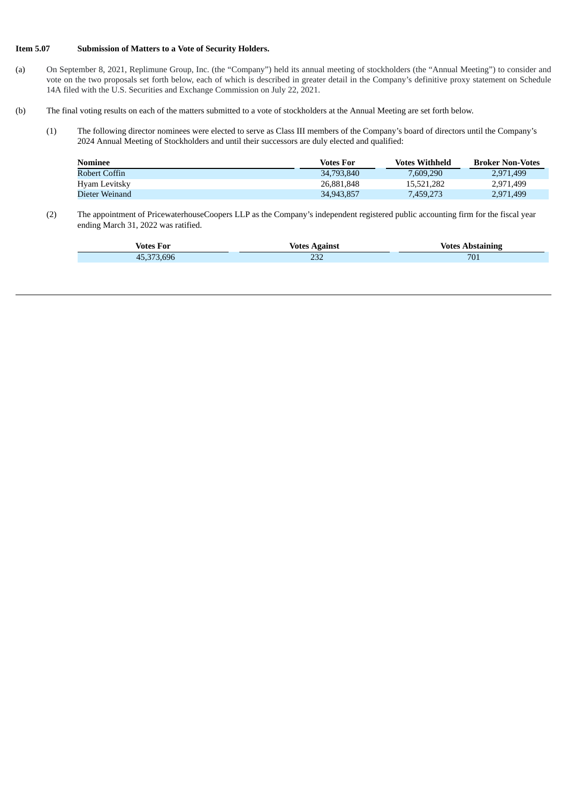#### **Item 5.07 Submission of Matters to a Vote of Security Holders.**

- (a) On September 8, 2021, Replimune Group, Inc. (the "Company") held its annual meeting of stockholders (the "Annual Meeting") to consider and vote on the two proposals set forth below, each of which is described in greater detail in the Company's definitive proxy statement on Schedule 14A filed with the U.S. Securities and Exchange Commission on July 22, 2021.
- (b) The final voting results on each of the matters submitted to a vote of stockholders at the Annual Meeting are set forth below.
	- (1) The following director nominees were elected to serve as Class III members of the Company's board of directors until the Company's 2024 Annual Meeting of Stockholders and until their successors are duly elected and qualified:

| Nominee        | Votes For  | <b>Votes Withheld</b> | <b>Broker Non-Votes</b> |
|----------------|------------|-----------------------|-------------------------|
| Robert Coffin  | 34,793,840 | 7.609.290             | 2.971.499               |
| Hyam Levitsky  | 26.881.848 | 15.521.282            | 2.971.499               |
| Dieter Weinand | 34.943.857 | 7,459,273             | 2.971.499               |

(2) The appointment of PricewaterhouseCoopers LLP as the Company's independent registered public accounting firm for the fiscal year ending March 31, 2022 was ratified.

|                                            | Votes       | Votes $\lambda$   |  |
|--------------------------------------------|-------------|-------------------|--|
| Votes For                                  | Against     | <b>Anstaining</b> |  |
| $\sqrt{2}$<br>$F \cap F$<br>.696<br>$\sim$ | י ה<br>ے بے | 701               |  |